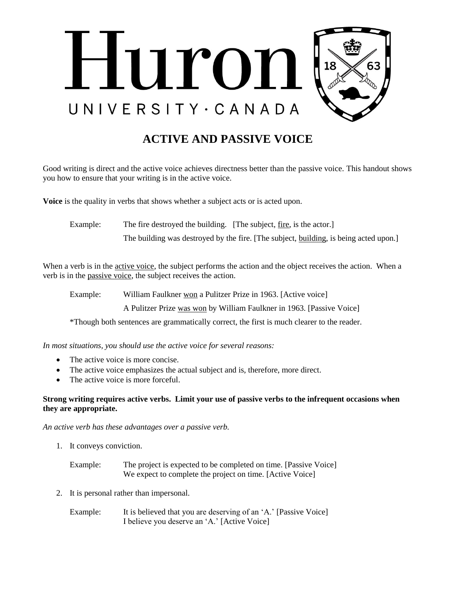

## **ACTIVE AND PASSIVE VOICE**

Good writing is direct and the active voice achieves directness better than the passive voice. This handout shows you how to ensure that your writing is in the active voice.

**Voice** is the quality in verbs that shows whether a subject acts or is acted upon.

Example: The fire destroyed the building. [The subject, fire, is the actor.]

The building was destroyed by the fire. [The subject, building, is being acted upon.]

When a verb is in the active voice, the subject performs the action and the object receives the action. When a verb is in the passive voice, the subject receives the action.

Example: William Faulkner won a Pulitzer Prize in 1963. [Active voice]

A Pulitzer Prize was won by William Faulkner in 1963. [Passive Voice]

\*Though both sentences are grammatically correct, the first is much clearer to the reader.

*In most situations, you should use the active voice for several reasons:*

- The active voice is more concise.
- The active voice emphasizes the actual subject and is, therefore, more direct.
- The active voice is more forceful.

## **Strong writing requires active verbs. Limit your use of passive verbs to the infrequent occasions when they are appropriate.**

*An active verb has these advantages over a passive verb.*

- 1. It conveys conviction.
	- Example: The project is expected to be completed on time. [Passive Voice] We expect to complete the project on time. [Active Voice]
- 2. It is personal rather than impersonal.
	- Example: It is believed that you are deserving of an 'A.' [Passive Voice] I believe you deserve an 'A.' [Active Voice]